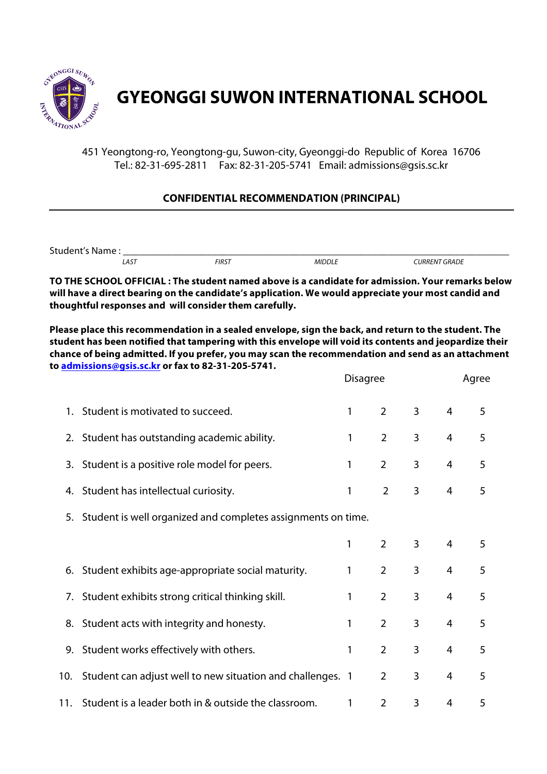

## **GYEONGGI SUWON INTERNATIONAL SCHOOL**

451 Yeongtong-ro, Yeongtong-gu, Suwon-city, Gyeonggi-do Republic of Korea 16706 Tel.: 82-31-695-2811 Fax: 82-31-205-5741 Email: admissions@gsis.sc.kr

## **CONFIDENTIAL RECOMMENDATION (PRINCIPAL)**

Student's Name :<br>
AST FIRST MIDDLE  *LAST FIRST MIDDLE CURRENT GRADE*

**TO THE SCHOOL OFFICIAL : The student named above is a candidate for admission. Your remarks below will have a direct bearing on the candidate's application. We would appreciate your most candid and thoughtful responses and will consider them carefully.**

**Please place this recommendation in a sealed envelope, sign the back, and return to the student. The student has been notified that tampering with this envelope will void its contents and jeopardize their chance of being admitted. If you prefer, you may scan the recommendation and send as an attachment to admissions@gsis.sc.kr or fax to 82-31-205-5741.**

|     |                                                                 | <b>Disagree</b> |                | Agree          |                |   |
|-----|-----------------------------------------------------------------|-----------------|----------------|----------------|----------------|---|
|     | 1. Student is motivated to succeed.                             | 1               | $\overline{2}$ | $\overline{3}$ | $\overline{4}$ | 5 |
|     | 2. Student has outstanding academic ability.                    | 1               | $\overline{2}$ | 3              | $\overline{4}$ | 5 |
|     | 3. Student is a positive role model for peers.                  | 1               | $\overline{2}$ | 3              | 4              | 5 |
|     | 4. Student has intellectual curiosity.                          | 1               | $\overline{2}$ | 3              | $\overline{4}$ | 5 |
|     | 5. Student is well organized and completes assignments on time. |                 |                |                |                |   |
|     |                                                                 | 1               | $\overline{2}$ | 3              | $\overline{4}$ | 5 |
|     | 6. Student exhibits age-appropriate social maturity.            | 1               | $\overline{2}$ | 3              | $\overline{4}$ | 5 |
|     | 7. Student exhibits strong critical thinking skill.             | 1               | $\overline{2}$ | 3              | 4              | 5 |
|     | 8. Student acts with integrity and honesty.                     | 1               | $\overline{2}$ | 3              | 4              | 5 |
|     | 9. Student works effectively with others.                       | 1               | $\overline{2}$ | 3              | $\overline{4}$ | 5 |
| 10. | Student can adjust well to new situation and challenges. 1      |                 | $\overline{2}$ | 3              | 4              | 5 |
| 11. | Student is a leader both in & outside the classroom.            | 1               | $\overline{2}$ | 3              | 4              | 5 |